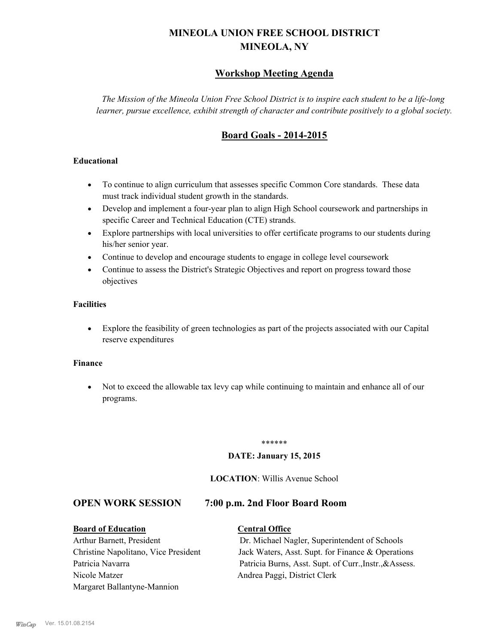## **MINEOLA UNION FREE SCHOOL DISTRICT MINEOLA, NY**

#### **Workshop Meeting Agenda**

*The Mission of the Mineola Union Free School District is to inspire each student to be a life-long learner, pursue excellence, exhibit strength of character and contribute positively to a global society.*

### **Board Goals - 2014-2015**

#### **Educational**

- · To continue to align curriculum that assesses specific Common Core standards. These data must track individual student growth in the standards.
- · Develop and implement a four-year plan to align High School coursework and partnerships in specific Career and Technical Education (CTE) strands.
- · Explore partnerships with local universities to offer certificate programs to our students during his/her senior year.
- · Continue to develop and encourage students to engage in college level coursework
- Continue to assess the District's Strategic Objectives and report on progress toward those objectives

#### **Facilities**

· Explore the feasibility of green technologies as part of the projects associated with our Capital reserve expenditures

#### **Finance**

· Not to exceed the allowable tax levy cap while continuing to maintain and enhance all of our programs.

#### \*\*\*\*\*\*

#### **DATE: January 15, 2015**

#### **LOCATION**: Willis Avenue School

#### **OPEN WORK SESSION 7:00 p.m. 2nd Floor Board Room**

#### **Board of Education Central Office**

# Nicole Matzer Andrea Paggi, District Clerk Margaret Ballantyne-Mannion

Arthur Barnett, President Dr. Michael Nagler, Superintendent of Schools Christine Napolitano, Vice President Jack Waters, Asst. Supt. for Finance & Operations Patricia Navarra Patricia Burns, Asst. Supt. of Curr., Instr., &Assess.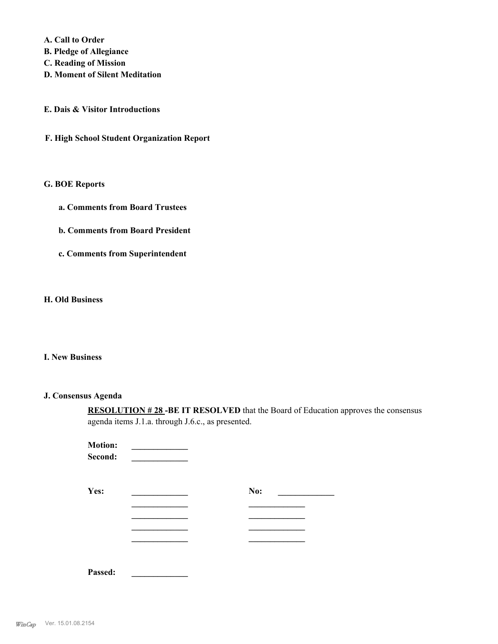**A. Call to Order** 

- **B. Pledge of Allegiance**
- **C. Reading of Mission**
- **D. Moment of Silent Meditation**

**E. Dais & Visitor Introductions**

**F. High School Student Organization Report**

#### **G. BOE Reports**

- **a. Comments from Board Trustees**
- **b. Comments from Board President**
- **c. Comments from Superintendent**

#### **H. Old Business**

#### **I. New Business**

#### **J. Consensus Agenda**

**RESOLUTION # 28 -BE IT RESOLVED** that the Board of Education approves the consensus agenda items J.1.a. through J.6.c., as presented.

| <b>Motion:</b><br>Second: |     |  |
|---------------------------|-----|--|
| Yes:                      | No: |  |
|                           |     |  |
|                           |     |  |
|                           |     |  |
| Passed:                   |     |  |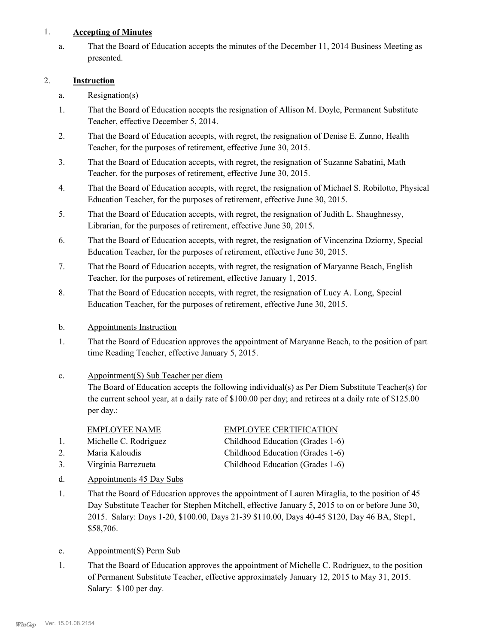#### 1. **Accepting of Minutes**

That the Board of Education accepts the minutes of the December 11, 2014 Business Meeting as presented. a.

#### 2. **Instruction**

- a. Resignation(s)
- That the Board of Education accepts the resignation of Allison M. Doyle, Permanent Substitute Teacher, effective December 5, 2014. 1.
- That the Board of Education accepts, with regret, the resignation of Denise E. Zunno, Health Teacher, for the purposes of retirement, effective June 30, 2015. 2.
- That the Board of Education accepts, with regret, the resignation of Suzanne Sabatini, Math Teacher, for the purposes of retirement, effective June 30, 2015. 3.
- That the Board of Education accepts, with regret, the resignation of Michael S. Robilotto, Physical Education Teacher, for the purposes of retirement, effective June 30, 2015. 4.
- That the Board of Education accepts, with regret, the resignation of Judith L. Shaughnessy, Librarian, for the purposes of retirement, effective June 30, 2015. 5.
- That the Board of Education accepts, with regret, the resignation of Vincenzina Dziorny, Special Education Teacher, for the purposes of retirement, effective June 30, 2015. 6.
- That the Board of Education accepts, with regret, the resignation of Maryanne Beach, English Teacher, for the purposes of retirement, effective January 1, 2015. 7.
- That the Board of Education accepts, with regret, the resignation of Lucy A. Long, Special Education Teacher, for the purposes of retirement, effective June 30, 2015. 8.
- b. Appointments Instruction
- That the Board of Education approves the appointment of Maryanne Beach, to the position of part time Reading Teacher, effective January 5, 2015. 1.
- Appointment(S) Sub Teacher per diem c.

The Board of Education accepts the following individual(s) as Per Diem Substitute Teacher(s) for the current school year, at a daily rate of \$100.00 per day; and retirees at a daily rate of \$125.00 per day.:

| <b>EMPLOYEE NAME</b>  | <b>EMPLOYEE CERTIFICATION</b>    |
|-----------------------|----------------------------------|
| Michelle C. Rodriguez | Childhood Education (Grades 1-6) |
| Maria Kaloudis        | Childhood Education (Grades 1-6) |

- 3. Virginia Barrezueta Childhood Education (Grades 1-6)
- 
- d. Appointments 45 Day Subs
- That the Board of Education approves the appointment of Lauren Miraglia, to the position of 45 Day Substitute Teacher for Stephen Mitchell, effective January 5, 2015 to on or before June 30, 2015. Salary: Days 1-20, \$100.00, Days 21-39 \$110.00, Days 40-45 \$120, Day 46 BA, Step1, \$58,706. 1.
- e. Appointment(S) Perm Sub
- That the Board of Education approves the appointment of Michelle C. Rodriguez, to the position of Permanent Substitute Teacher, effective approximately January 12, 2015 to May 31, 2015. Salary: \$100 per day. 1.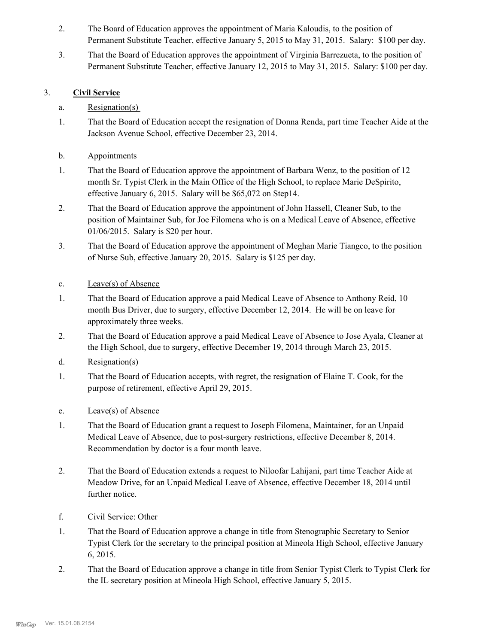- The Board of Education approves the appointment of Maria Kaloudis, to the position of Permanent Substitute Teacher, effective January 5, 2015 to May 31, 2015. Salary: \$100 per day. 2.
- That the Board of Education approves the appointment of Virginia Barrezueta, to the position of Permanent Substitute Teacher, effective January 12, 2015 to May 31, 2015. Salary: \$100 per day. 3.

#### 3. **Civil Service**

- a. Resignation(s)
- That the Board of Education accept the resignation of Donna Renda, part time Teacher Aide at the Jackson Avenue School, effective December 23, 2014. 1.
- b. Appointments
- That the Board of Education approve the appointment of Barbara Wenz, to the position of 12 month Sr. Typist Clerk in the Main Office of the High School, to replace Marie DeSpirito, effective January 6, 2015. Salary will be \$65,072 on Step14. 1.
- That the Board of Education approve the appointment of John Hassell, Cleaner Sub, to the position of Maintainer Sub, for Joe Filomena who is on a Medical Leave of Absence, effective 01/06/2015. Salary is \$20 per hour. 2.
- That the Board of Education approve the appointment of Meghan Marie Tiangco, to the position of Nurse Sub, effective January 20, 2015. Salary is \$125 per day. 3.
- c. Leave(s) of Absence
- That the Board of Education approve a paid Medical Leave of Absence to Anthony Reid, 10 month Bus Driver, due to surgery, effective December 12, 2014. He will be on leave for approximately three weeks. 1.
- That the Board of Education approve a paid Medical Leave of Absence to Jose Ayala, Cleaner at the High School, due to surgery, effective December 19, 2014 through March 23, 2015. 2.
- d. Resignation(s)
- That the Board of Education accepts, with regret, the resignation of Elaine T. Cook, for the purpose of retirement, effective April 29, 2015. 1.
- e. Leave(s) of Absence
- That the Board of Education grant a request to Joseph Filomena, Maintainer, for an Unpaid Medical Leave of Absence, due to post-surgery restrictions, effective December 8, 2014. Recommendation by doctor is a four month leave. 1.
- That the Board of Education extends a request to Niloofar Lahijani, part time Teacher Aide at Meadow Drive, for an Unpaid Medical Leave of Absence, effective December 18, 2014 until further notice. 2.
- f. Civil Service: Other
- That the Board of Education approve a change in title from Stenographic Secretary to Senior Typist Clerk for the secretary to the principal position at Mineola High School, effective January 6, 2015. 1.
- That the Board of Education approve a change in title from Senior Typist Clerk to Typist Clerk for the IL secretary position at Mineola High School, effective January 5, 2015. 2.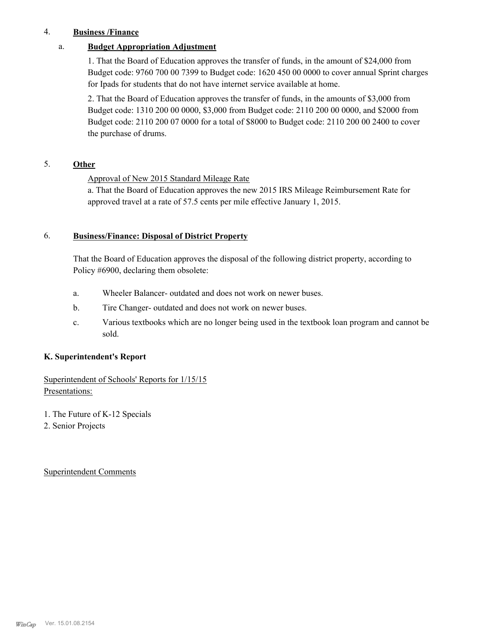#### 4. **Business /Finance**

#### a. **Budget Appropriation Adjustment**

1. That the Board of Education approves the transfer of funds, in the amount of \$24,000 from Budget code: 9760 700 00 7399 to Budget code: 1620 450 00 0000 to cover annual Sprint charges for Ipads for students that do not have internet service available at home.

2. That the Board of Education approves the transfer of funds, in the amounts of \$3,000 from Budget code: 1310 200 00 0000, \$3,000 from Budget code: 2110 200 00 0000, and \$2000 from Budget code: 2110 200 07 0000 for a total of \$8000 to Budget code: 2110 200 00 2400 to cover the purchase of drums.

#### 5. **Other**

#### Approval of New 2015 Standard Mileage Rate

a. That the Board of Education approves the new 2015 IRS Mileage Reimbursement Rate for approved travel at a rate of 57.5 cents per mile effective January 1, 2015.

#### **Business/Finance: Disposal of District Property** 6.

That the Board of Education approves the disposal of the following district property, according to Policy #6900, declaring them obsolete:

- a. Wheeler Balancer- outdated and does not work on newer buses.
- b. Tire Changer- outdated and does not work on newer buses.
- Various textbooks which are no longer being used in the textbook loan program and cannot be sold. c.

#### **K. Superintendent's Report**

#### Superintendent of Schools' Reports for 1/15/15 Presentations:

- 1. The Future of K-12 Specials
- 2. Senior Projects

Superintendent Comments